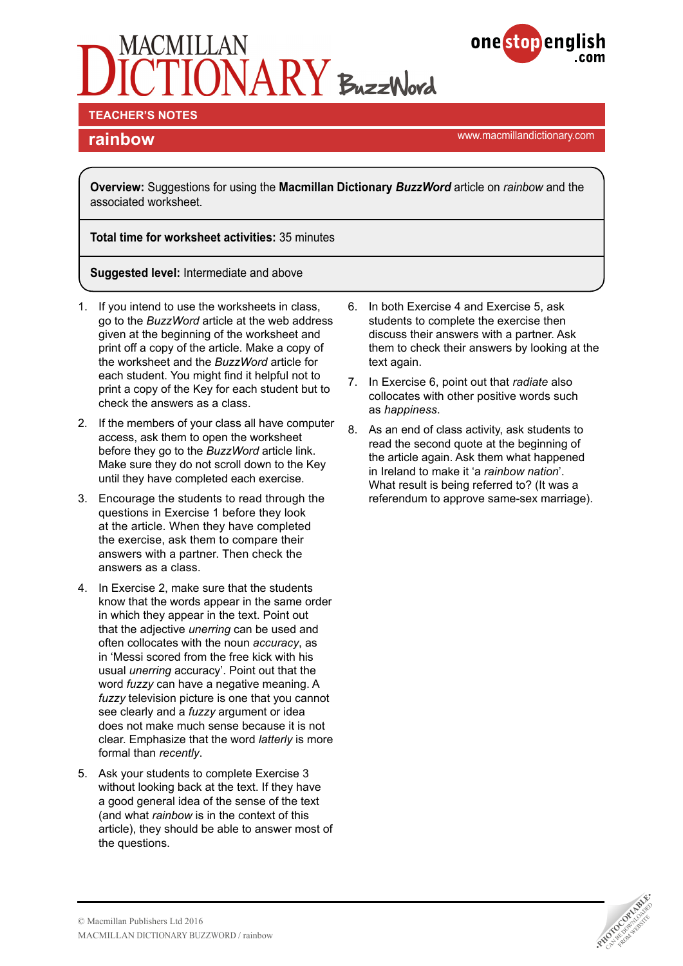



**TEACHER'S NOTES** 

www.macmillandictionary.com **rainbow**

**Overview:** Suggestions for using the **Macmillan Dictionary** *BuzzWord* article on *rainbow* and the associated worksheet.

**Total time for worksheet activities:** 35 minutes

**Suggested level:** Intermediate and above

- 1. If you intend to use the worksheets in class, go to the *BuzzWord* article at the web address given at the beginning of the worksheet and print off a copy of the article. Make a copy of the worksheet and the *BuzzWord* article for each student. You might find it helpful not to print a copy of the Key for each student but to check the answers as a class.
- 2. If the members of your class all have computer access, ask them to open the worksheet before they go to the *BuzzWord* article link. Make sure they do not scroll down to the Key until they have completed each exercise.
- 3. Encourage the students to read through the questions in Exercise 1 before they look at the article. When they have completed the exercise, ask them to compare their answers with a partner. Then check the answers as a class.
- 4. In Exercise 2, make sure that the students know that the words appear in the same order in which they appear in the text. Point out that the adjective *unerring* can be used and often collocates with the noun *accuracy*, as in 'Messi scored from the free kick with his usual *unerring* accuracy'. Point out that the word *fuzzy* can have a negative meaning. A *fuzzy* television picture is one that you cannot see clearly and a *fuzzy* argument or idea does not make much sense because it is not clear. Emphasize that the word *latterly* is more formal than *recently*.
- 5. Ask your students to complete Exercise 3 without looking back at the text. If they have a good general idea of the sense of the text (and what *rainbow* is in the context of this article), they should be able to answer most of the questions.
- 6. In both Exercise 4 and Exercise 5, ask students to complete the exercise then discuss their answers with a partner. Ask them to check their answers by looking at the text again.
- 7. In Exercise 6, point out that *radiate* also collocates with other positive words such as *happiness*.
- 8. As an end of class activity, ask students to read the second quote at the beginning of the article again. Ask them what happened in Ireland to make it 'a *rainbow nation*'. What result is being referred to? (It was a referendum to approve same-sex marriage).

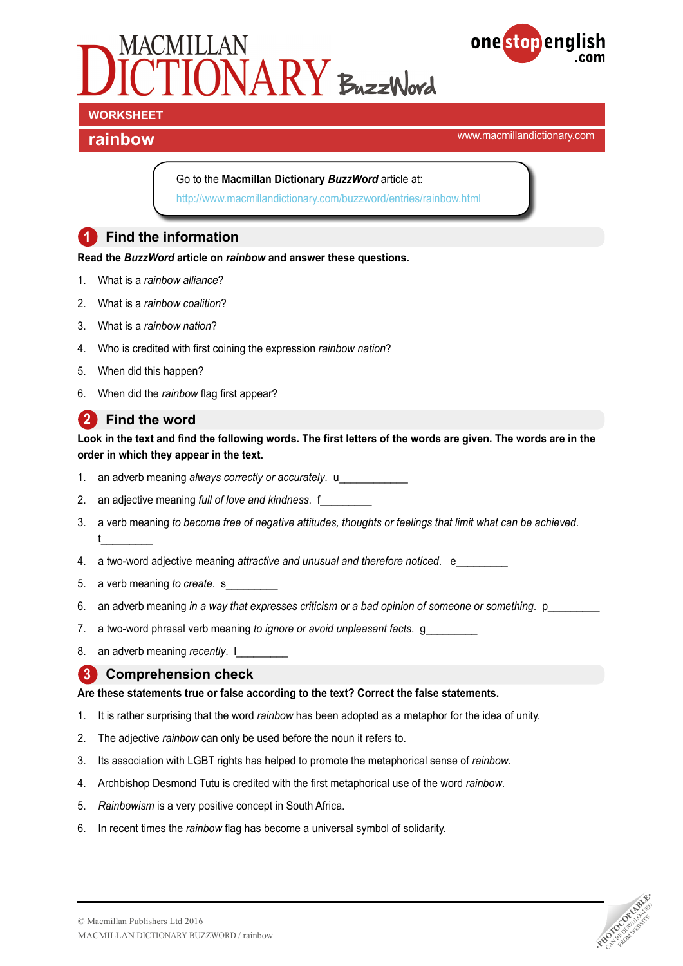



# **WORKSHEET**

### **rainbow rainbow rainbow rainbow** *rainbow nd*

#### Go to the **Macmillan Dictionary** *BuzzWord* article at:

<http://www.macmillandictionary.com/buzzword/entries/rainbow.html>

#### **1** Find the information

**Read the** *BuzzWord* **article on** *rainbow* **and answer these questions.**

- 1. What is a *rainbow alliance*?
- 2. What is a *rainbow coalition*?
- 3. What is a *rainbow nation*?
- 4. Who is credited with first coining the expression *rainbow nation*?
- 5. When did this happen?
- 6. When did the *rainbow* flag first appear?

#### **2 Find the word**

**Look in the text and find the following words. The first letters of the words are given. The words are in the order in which they appear in the text.**

- 1. an adverb meaning *always correctly or accurately*. u
- 2. an adjective meaning *full of love and kindness*. f\_\_\_\_\_\_\_\_\_
- 3. a verb meaning *to become free of negative attitudes, thoughts or feelings that limit what can be achieved*. t\_\_\_\_\_\_\_\_\_
- 4. a two-word adjective meaning *attractive and unusual and therefore noticed*. e\_\_\_\_\_\_\_\_\_
- 5. a verb meaning *to create*. s
- 6. an adverb meaning *in a way that expresses criticism or a bad opinion of someone or something*. p\_\_\_\_\_\_\_\_\_
- 7. a two-word phrasal verb meaning *to ignore or avoid unpleasant facts*. g\_\_\_\_\_\_\_\_\_
- 8. an adverb meaning *recently*. I

#### **3 Comprehension check**

#### **Are these statements true or false according to the text? Correct the false statements.**

- 1. It is rather surprising that the word *rainbow* has been adopted as a metaphor for the idea of unity.
- 2. The adjective *rainbow* can only be used before the noun it refers to.
- 3. Its association with LGBT rights has helped to promote the metaphorical sense of *rainbow*.
- 4. Archbishop Desmond Tutu is credited with the first metaphorical use of the word *rainbow*.
- 5. *Rainbowism* is a very positive concept in South Africa.
- 6. In recent times the *rainbow* flag has become a universal symbol of solidarity.

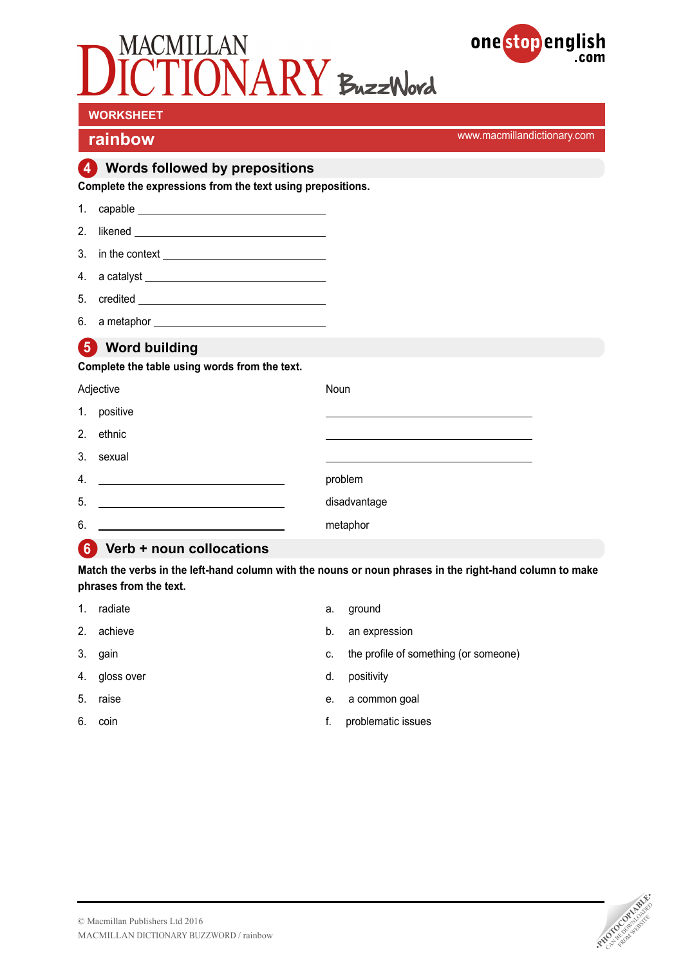|  | MACMILLAN                  |  |
|--|----------------------------|--|
|  | <b>DICTIONARY</b> BuzzWord |  |
|  |                            |  |



|                                                                                                | rainbow                                                            |                                                                                                                      | www.macmillandictionary.com |  |  |  |
|------------------------------------------------------------------------------------------------|--------------------------------------------------------------------|----------------------------------------------------------------------------------------------------------------------|-----------------------------|--|--|--|
| 4 Words followed by prepositions<br>Complete the expressions from the text using prepositions. |                                                                    |                                                                                                                      |                             |  |  |  |
| $1_{-}$                                                                                        |                                                                    |                                                                                                                      |                             |  |  |  |
| 2.                                                                                             | likened $\overline{\phantom{a}}$                                   |                                                                                                                      |                             |  |  |  |
| 3.                                                                                             | in the context $\_$                                                |                                                                                                                      |                             |  |  |  |
| 4.                                                                                             |                                                                    |                                                                                                                      |                             |  |  |  |
| 5.                                                                                             |                                                                    |                                                                                                                      |                             |  |  |  |
| 6.                                                                                             |                                                                    |                                                                                                                      |                             |  |  |  |
|                                                                                                | 5 Word building                                                    |                                                                                                                      |                             |  |  |  |
| Complete the table using words from the text.                                                  |                                                                    |                                                                                                                      |                             |  |  |  |
| Adjective                                                                                      |                                                                    | Noun                                                                                                                 |                             |  |  |  |
| 1.                                                                                             | positive                                                           | <u> 1989 - Johann Stein, marwolaethau a bhann an t-Amhair ann an t-Amhair an t-Amhair an t-Amhair an t-Amhair an</u> |                             |  |  |  |
| 2 <sub>1</sub>                                                                                 | ethnic                                                             |                                                                                                                      |                             |  |  |  |
| 3.                                                                                             | sexual                                                             | <u> 1989 - Johann Stoff, amerikansk politiker (* 1908)</u>                                                           |                             |  |  |  |
| 4.                                                                                             | <u> 1989 - Andrea Station Barbara, amerikan personal (h. 1989)</u> | problem                                                                                                              |                             |  |  |  |
| 5.                                                                                             | <u> 1989 - Johann Barn, fransk politik amerikansk politik (</u>    | disadvantage                                                                                                         |                             |  |  |  |
| 6.                                                                                             | <u> 1989 - Johann Barn, amerikansk politiker (d. 1989)</u>         | metaphor                                                                                                             |                             |  |  |  |

### **6 Verb + noun collocations**

**WORKSHEET** 

**Match the verbs in the left-hand column with the nouns or noun phrases in the right-hand column to make phrases from the text.**

| 1. | radiate       | а. | ground                                |
|----|---------------|----|---------------------------------------|
| 2. | achieve       | b. | an expression                         |
|    | 3. gain       | C. | the profile of something (or someone) |
|    | 4. gloss over | d. | positivity                            |
| 5. | raise         | е. | a common goal                         |
|    |               |    |                                       |

6. coin f. problematic issues